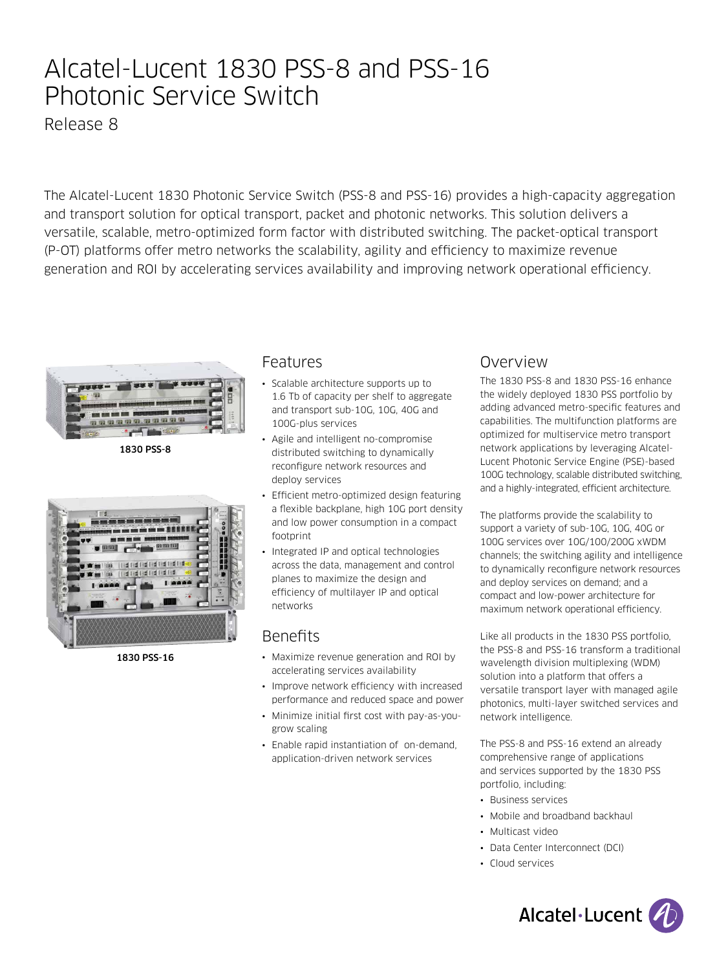# Alcatel-Lucent 1830 PSS-8 and PSS-16 Photonic Service Switch

Release 8

The Alcatel-Lucent 1830 Photonic Service Switch (PSS-8 and PSS-16) provides a high-capacity aggregation and transport solution for optical transport, packet and photonic networks. This solution delivers a versatile, scalable, metro-optimized form factor with distributed switching. The packet-optical transport (P-OT) platforms offer metro networks the scalability, agility and efficiency to maximize revenue generation and ROI by accelerating services availability and improving network operational efficiency.



1830 PSS-8



1830 PSS-16

### Features

- Scalable architecture supports up to 1.6 Tb of capacity per shelf to aggregate and transport sub-10G, 10G, 40G and 100G-plus services
- Agile and intelligent no-compromise distributed switching to dynamically reconfigure network resources and deploy services
- Efficient metro-optimized design featuring a flexible backplane, high 10G port density and low power consumption in a compact footprint
- Integrated IP and optical technologies across the data, management and control planes to maximize the design and efficiency of multilayer IP and optical networks

## **Benefits**

- Maximize revenue generation and ROI by accelerating services availability
- Improve network efficiency with increased performance and reduced space and power
- Minimize initial first cost with pay-as-yougrow scaling
- Enable rapid instantiation of on-demand, application-driven network services

## Overview

The 1830 PSS-8 and 1830 PSS-16 enhance the widely deployed 1830 PSS portfolio by adding advanced metro-specific features and capabilities. The multifunction platforms are optimized for multiservice metro transport network applications by leveraging Alcatel-Lucent Photonic Service Engine (PSE)-based 100G technology, scalable distributed switching, and a highly-integrated, efficient architecture.

The platforms provide the scalability to support a variety of sub-10G, 10G, 40G or 100G services over 10G/100/200G xWDM channels; the switching agility and intelligence to dynamically reconfigure network resources and deploy services on demand; and a compact and low-power architecture for maximum network operational efficiency.

Like all products in the 1830 PSS portfolio, the PSS-8 and PSS-16 transform a traditional wavelength division multiplexing (WDM) solution into a platform that offers a versatile transport layer with managed agile photonics, multi-layer switched services and network intelligence.

The PSS-8 and PSS-16 extend an already comprehensive range of applications and services supported by the 1830 PSS portfolio, including:

- Business services
- Mobile and broadband backhaul
- Multicast video
- Data Center Interconnect (DCI)
- Cloud services

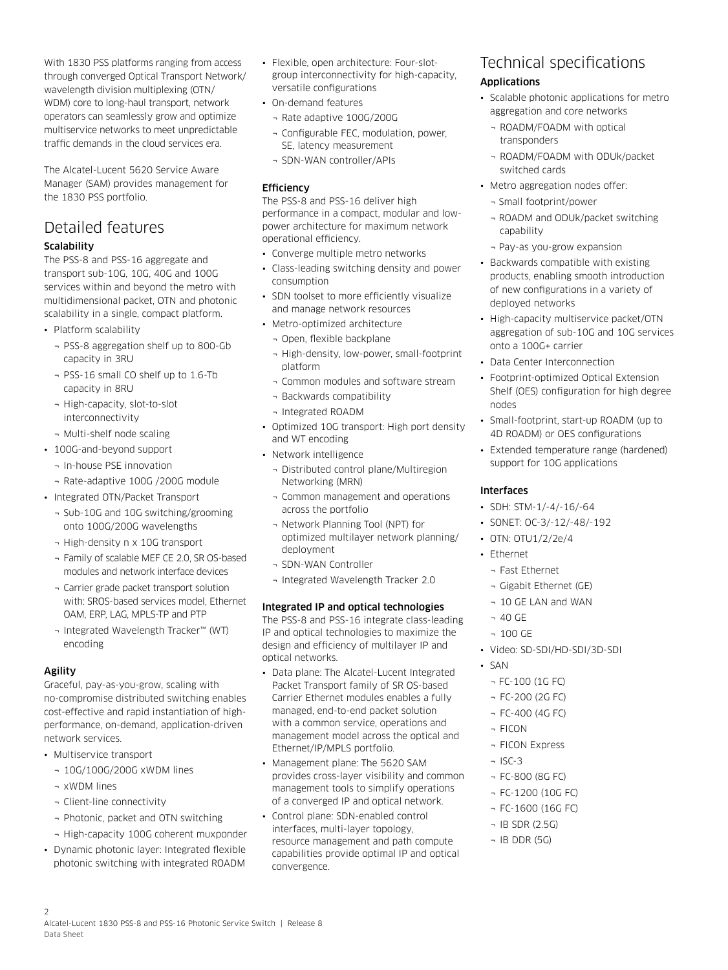With 1830 PSS platforms ranging from access through converged Optical Transport Network/ wavelength division multiplexing (OTN/ WDM) core to long-haul transport, network operators can seamlessly grow and optimize multiservice networks to meet unpredictable traffic demands in the cloud services era.

The Alcatel-Lucent 5620 Service Aware Manager (SAM) provides management for the 1830 PSS portfolio.

#### Detailed features Scalability

The PSS-8 and PSS-16 aggregate and transport sub-10G, 10G, 40G and 100G services within and beyond the metro with multidimensional packet, OTN and photonic scalability in a single, compact platform.

- Platform scalability
	- ¬ PSS-8 aggregation shelf up to 800-Gb capacity in 3RU
	- ¬ PSS-16 small CO shelf up to 1.6-Tb capacity in 8RU
	- ¬ High-capacity, slot-to-slot interconnectivity
	- ¬ Multi-shelf node scaling
- 100G-and-beyond support
	- ¬ In-house PSE innovation
	- ¬ Rate-adaptive 100G /200G module
- Integrated OTN/Packet Transport
	- ¬ Sub-10G and 10G switching/grooming onto 100G/200G wavelengths
	- ¬ High-density n x 10G transport
	- ¬ Family of scalable MEF CE 2.0, SR OS-based modules and network interface devices
	- ¬ Carrier grade packet transport solution with: SROS-based services model, Ethernet OAM, ERP, LAG, MPLS-TP and PTP
	- ¬ Integrated Wavelength Tracker™ (WT) encoding

#### Agility

Graceful, pay-as-you-grow, scaling with no-compromise distributed switching enables cost-effective and rapid instantiation of highperformance, on-demand, application-driven network services.

- Multiservice transport
	- ¬ 10G/100G/200G xWDM lines
	- ¬ xWDM lines
	- ¬ Client-line connectivity
	- ¬ Photonic, packet and OTN switching
	- ¬ High-capacity 100G coherent muxponder
- Dynamic photonic layer: Integrated flexible photonic switching with integrated ROADM
- Flexible, open architecture: Four-slotgroup interconnectivity for high-capacity, versatile configurations
- On-demand features
- ¬ Rate adaptive 100G/200G
- ¬ Configurable FEC, modulation, power, SE, latency measurement
- ¬ SDN-WAN controller/APIs

#### **Efficiency**

The PSS-8 and PSS-16 deliver high performance in a compact, modular and lowpower architecture for maximum network operational efficiency.

- Converge multiple metro networks
- Class-leading switching density and power consumption
- SDN toolset to more efficiently visualize and manage network resources
- Metro-optimized architecture
	- ¬ Open, flexible backplane
	- ¬ High-density, low-power, small-footprint platform
	- ¬ Common modules and software stream
	- ¬ Backwards compatibility
	- ¬ Integrated ROADM
- Optimized 10G transport: High port density and WT encoding
- Network intelligence
	- ¬ Distributed control plane/Multiregion Networking (MRN)
	- ¬ Common management and operations across the portfolio
	- ¬ Network Planning Tool (NPT) for optimized multilayer network planning/ deployment
	- ¬ SDN-WAN Controller
	- ¬ Integrated Wavelength Tracker 2.0

#### Integrated IP and optical technologies

The PSS-8 and PSS-16 integrate class-leading IP and optical technologies to maximize the design and efficiency of multilayer IP and optical networks.

- Data plane: The Alcatel-Lucent Integrated Packet Transport family of SR OS-based Carrier Ethernet modules enables a fully managed, end-to-end packet solution with a common service, operations and management model across the optical and Ethernet/IP/MPLS portfolio.
- Management plane: The 5620 SAM provides cross-layer visibility and common management tools to simplify operations of a converged IP and optical network.
- Control plane: SDN-enabled control interfaces, multi-layer topology, resource management and path compute capabilities provide optimal IP and optical convergence.

## Technical specifications

#### Applications

- Scalable photonic applications for metro aggregation and core networks
	- ¬ ROADM/FOADM with optical transponders
	- ¬ ROADM/FOADM with ODUk/packet switched cards
- Metro aggregation nodes offer:
	- ¬ Small footprint/power
	- ¬ ROADM and ODUk/packet switching capability
	- ¬ Pay-as you-grow expansion
- Backwards compatible with existing products, enabling smooth introduction of new configurations in a variety of deployed networks
- High-capacity multiservice packet/OTN aggregation of sub-10G and 10G services onto a 100G+ carrier
- Data Center Interconnection
- Footprint-optimized Optical Extension Shelf (OES) configuration for high degree nodes
- Small-footprint, start-up ROADM (up to 4D ROADM) or OES configurations
- Extended temperature range (hardened) support for 10G applications

#### Interfaces

- SDH: STM-1/-4/-16/-64
- SONET: OC-3/-12/-48/-192
- OTN: OTU1/2/2e/4
- Ethernet
	- ¬ Fast Ethernet
	- ¬ Gigabit Ethernet (GE)
	- ¬ 10 GE LAN and WAN
	- ¬ 40 GE
	- ¬ 100 GE
- Video: SD-SDI/HD-SDI/3D-SDI
- SAN
	- ¬ FC-100 (1G FC)
	- ¬ FC-200 (2G FC)
	- ¬ FC-400 (4G FC)
	- ¬ FICON
	- ¬ FICON Express
	- $-$  ISC-3
	- ¬ FC-800 (8G FC)
	- ¬ FC-1200 (10G FC)
	- ¬ FC-1600 (16G FC)
	- ¬ IB SDR (2.5G)
	- ¬ IB DDR (5G)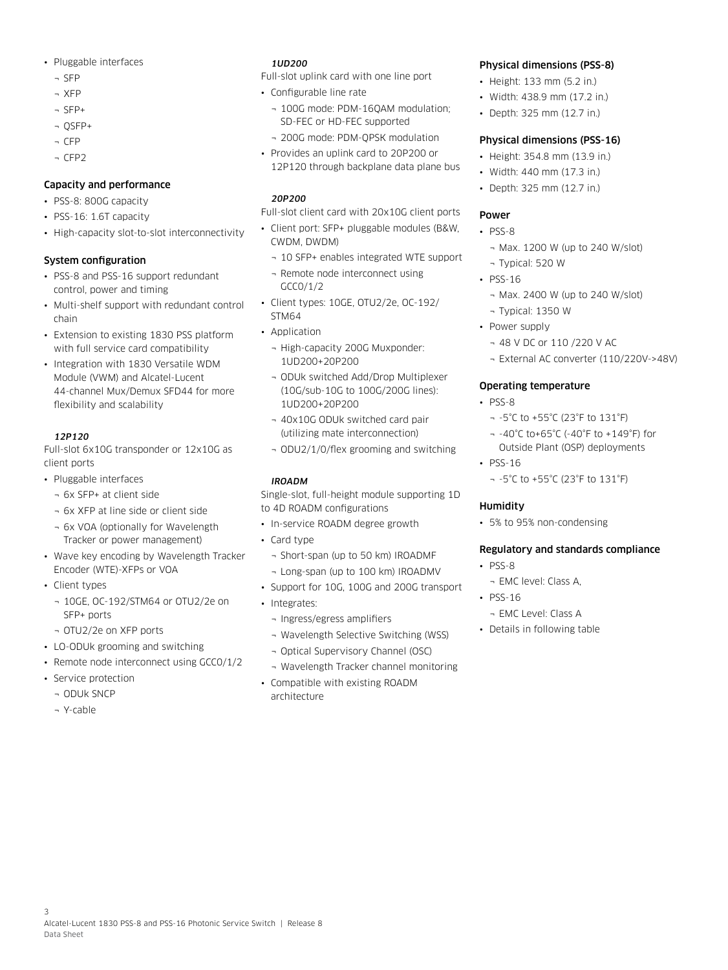- Pluggable interfaces
	- ¬ SFP
	- ¬ XFP
	- ¬ SFP+
	- ¬ QSFP+
	- ¬ CFP
	- ¬ CFP2

#### Capacity and performance

- PSS-8: 800G capacity
- PSS-16: 1.6T capacity
- High-capacity slot-to-slot interconnectivity

#### System configuration

- PSS-8 and PSS-16 support redundant control, power and timing
- Multi-shelf support with redundant control chain
- Extension to existing 1830 PSS platform with full service card compatibility
- Integration with 1830 Versatile WDM Module (VWM) and Alcatel-Lucent 44-channel Mux/Demux SFD44 for more flexibility and scalability

#### *12P120*

Full-slot 6x10G transponder or 12x10G as client ports

- Pluggable interfaces
	- ¬ 6x SFP+ at client side
	- ¬ 6x XFP at line side or client side
	- ¬ 6x VOA (optionally for Wavelength Tracker or power management)
- Wave key encoding by Wavelength Tracker Encoder (WTE)-XFPs or VOA
- Client types
	- ¬ 10GE, OC-192/STM64 or OTU2/2e on SFP+ ports
	- ¬ OTU2/2e on XFP ports
- LO-ODUk grooming and switching
- Remote node interconnect using GCC0/1/2
- Service protection
	- ¬ ODUk SNCP
	- ¬ Y-cable

#### *1UD200*

Full-slot uplink card with one line port

- Configurable line rate
	- ¬ 100G mode: PDM-16QAM modulation; SD-FEC or HD-FEC supported
	- ¬ 200G mode: PDM-QPSK modulation
- Provides an uplink card to 20P200 or 12P120 through backplane data plane bus

#### *20P200*

Full-slot client card with 20x10G client ports

- Client port: SFP+ pluggable modules (B&W, CWDM, DWDM)
	- ¬ 10 SFP+ enables integrated WTE support
	- ¬ Remote node interconnect using GCC0/1/2
- Client types: 10GE, OTU2/2e, OC-192/ STM64
- Application
	- ¬ High-capacity 200G Muxponder: 1UD200+20P200
	- ¬ ODUk switched Add/Drop Multiplexer (10G/sub-10G to 100G/200G lines): 1UD200+20P200
	- ¬ 40x10G ODUk switched card pair (utilizing mate interconnection)
	- ¬ ODU2/1/0/flex grooming and switching

#### *IROADM*

Single-slot, full-height module supporting 1D to 4D ROADM configurations

- In-service ROADM degree growth
- Card type
	- ¬ Short-span (up to 50 km) IROADMF
	- ¬ Long-span (up to 100 km) IROADMV
- Support for 10G, 100G and 200G transport
- Integrates:
	- ¬ Ingress/egress amplifiers
	- ¬ Wavelength Selective Switching (WSS)
	- ¬ Optical Supervisory Channel (OSC)
	- ¬ Wavelength Tracker channel monitoring
- Compatible with existing ROADM architecture

#### Physical dimensions (PSS-8)

- Height: 133 mm (5.2 in.)
- Width: 438.9 mm (17.2 in.)
- Depth: 325 mm (12.7 in.)

#### Physical dimensions (PSS-16)

- Height: 354.8 mm (13.9 in.)
- Width: 440 mm (17.3 in.)
- Depth: 325 mm (12.7 in.)

#### Power

- PSS-8
- ¬ Max. 1200 W (up to 240 W/slot) ¬ Typical: 520 W
- PSS-16
	- ¬ Max. 2400 W (up to 240 W/slot)
	- ¬ Typical: 1350 W
- Power supply
	- ¬ 48 V DC or 110 /220 V AC
	- ¬ External AC converter (110/220V->48V)

#### Operating temperature

- PSS-8
	- ¬ -5°C to +55°C (23°F to 131°F)
	- ¬ -40°C to+65°C (-40°F to +149°F) for Outside Plant (OSP) deployments
- PSS-16
	- ¬ -5°C to +55°C (23°F to 131°F)

#### **Humidity**

• 5% to 95% non-condensing

#### Regulatory and standards compliance

- PSS-8
	- ¬ EMC level: Class A,
- PSS-16
- ¬ EMC Level: Class A
- Details in following table